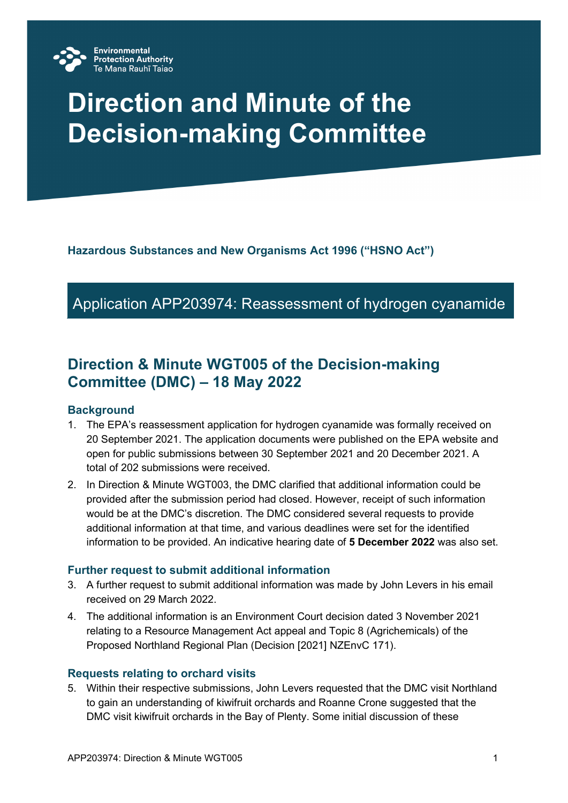

# **Direction and Minute of the Decision-making Committee**

**Hazardous Substances and New Organisms Act 1996 ("HSNO Act")**

# Application APP203974: Reassessment of hydrogen cyanamide

# **Direction & Minute WGT005 of the Decision-making Committee (DMC) – 18 May 2022**

#### **Background**

- 1. The EPA's reassessment application for hydrogen cyanamide was formally received on 20 September 2021. The application documents were published on the EPA website and open for public submissions between 30 September 2021 and 20 December 2021. A total of 202 submissions were received.
- 2. In Direction & Minute WGT003, the DMC clarified that additional information could be provided after the submission period had closed. However, receipt of such information would be at the DMC's discretion. The DMC considered several requests to provide additional information at that time, and various deadlines were set for the identified information to be provided. An indicative hearing date of **5 December 2022** was also set.

#### **Further request to submit additional information**

- 3. A further request to submit additional information was made by John Levers in his email received on 29 March 2022.
- 4. The additional information is an Environment Court decision dated 3 November 2021 relating to a Resource Management Act appeal and Topic 8 (Agrichemicals) of the Proposed Northland Regional Plan (Decision [2021] NZEnvC 171).

#### **Requests relating to orchard visits**

5. Within their respective submissions, John Levers requested that the DMC visit Northland to gain an understanding of kiwifruit orchards and Roanne Crone suggested that the DMC visit kiwifruit orchards in the Bay of Plenty. Some initial discussion of these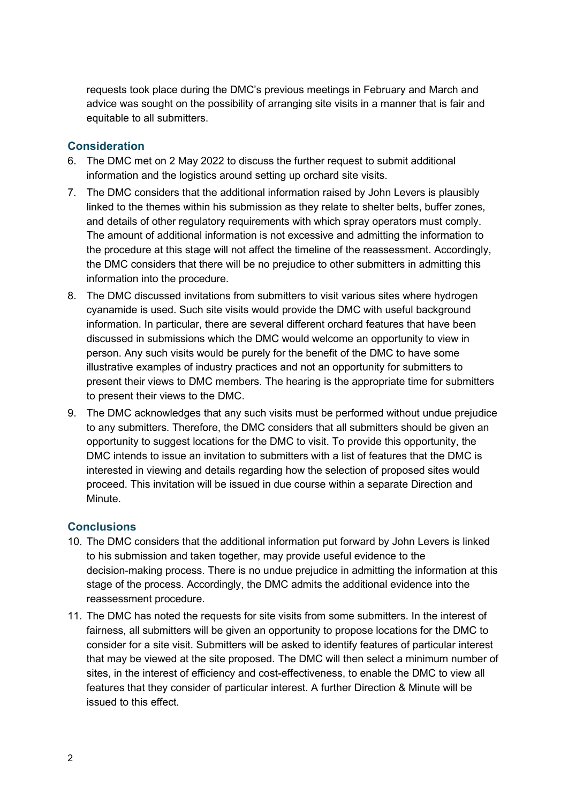requests took place during the DMC's previous meetings in February and March and advice was sought on the possibility of arranging site visits in a manner that is fair and equitable to all submitters.

## **Consideration**

- 6. The DMC met on 2 May 2022 to discuss the further request to submit additional information and the logistics around setting up orchard site visits.
- 7. The DMC considers that the additional information raised by John Levers is plausibly linked to the themes within his submission as they relate to shelter belts, buffer zones, and details of other regulatory requirements with which spray operators must comply. The amount of additional information is not excessive and admitting the information to the procedure at this stage will not affect the timeline of the reassessment. Accordingly, the DMC considers that there will be no prejudice to other submitters in admitting this information into the procedure.
- 8. The DMC discussed invitations from submitters to visit various sites where hydrogen cyanamide is used. Such site visits would provide the DMC with useful background information. In particular, there are several different orchard features that have been discussed in submissions which the DMC would welcome an opportunity to view in person. Any such visits would be purely for the benefit of the DMC to have some illustrative examples of industry practices and not an opportunity for submitters to present their views to DMC members. The hearing is the appropriate time for submitters to present their views to the DMC.
- 9. The DMC acknowledges that any such visits must be performed without undue prejudice to any submitters. Therefore, the DMC considers that all submitters should be given an opportunity to suggest locations for the DMC to visit. To provide this opportunity, the DMC intends to issue an invitation to submitters with a list of features that the DMC is interested in viewing and details regarding how the selection of proposed sites would proceed. This invitation will be issued in due course within a separate Direction and Minute.

# **Conclusions**

- 10. The DMC considers that the additional information put forward by John Levers is linked to his submission and taken together, may provide useful evidence to the decision-making process. There is no undue prejudice in admitting the information at this stage of the process. Accordingly, the DMC admits the additional evidence into the reassessment procedure.
- 11. The DMC has noted the requests for site visits from some submitters. In the interest of fairness, all submitters will be given an opportunity to propose locations for the DMC to consider for a site visit. Submitters will be asked to identify features of particular interest that may be viewed at the site proposed. The DMC will then select a minimum number of sites, in the interest of efficiency and cost-effectiveness, to enable the DMC to view all features that they consider of particular interest. A further Direction & Minute will be issued to this effect.